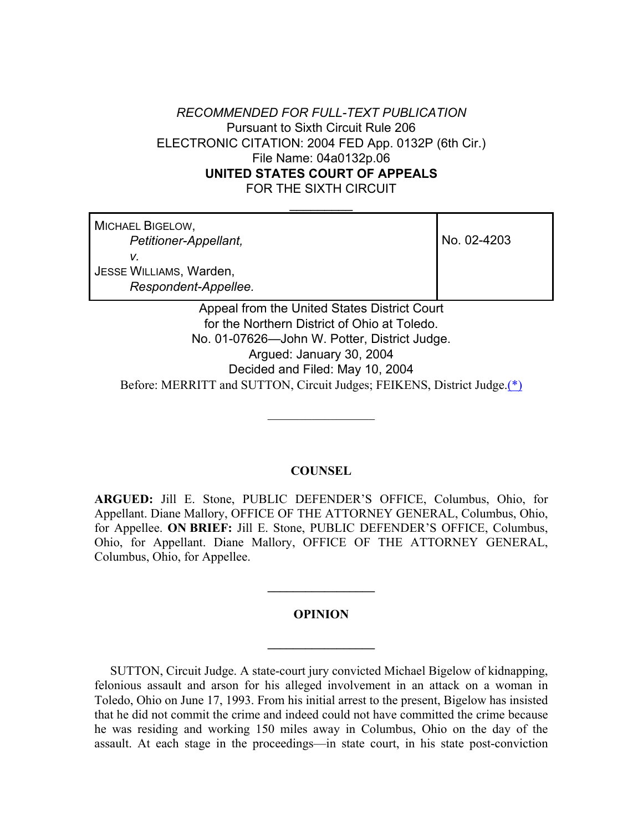# *RECOMMENDED FOR FULL-TEXT PUBLICATION* Pursuant to Sixth Circuit Rule 206 ELECTRONIC CITATION: 2004 FED App. 0132P (6th Cir.) File Name: 04a0132p.06 **UNITED STATES COURT OF APPEALS** FOR THE SIXTH CIRCUIT

 $\frac{1}{2}$ 

MICHAEL BIGELOW,  *Petitioner-Appellant, v.* JESSE WILLIAMS, Warden,  *Respondent-Appellee.*

No. 02-4203

Appeal from the United States District Court for the Northern District of Ohio at Toledo. No. 01-07626—John W. Potter, District Judge. Argued: January 30, 2004 Decided and Filed: May 10, 2004 Before: MERRITT and SUTTON, Circuit Judges; FEIKENS, District Judge.(\*)

## **COUNSEL**

 $\frac{1}{2}$ 

**ARGUED:** Jill E. Stone, PUBLIC DEFENDER'S OFFICE, Columbus, Ohio, for Appellant. Diane Mallory, OFFICE OF THE ATTORNEY GENERAL, Columbus, Ohio, for Appellee. **ON BRIEF:** Jill E. Stone, PUBLIC DEFENDER'S OFFICE, Columbus, Ohio, for Appellant. Diane Mallory, OFFICE OF THE ATTORNEY GENERAL, Columbus, Ohio, for Appellee.

#### **OPINION**

**\_\_\_\_\_\_\_\_\_\_\_\_\_\_\_\_\_**

**\_\_\_\_\_\_\_\_\_\_\_\_\_\_\_\_\_**

 SUTTON, Circuit Judge. A state-court jury convicted Michael Bigelow of kidnapping, felonious assault and arson for his alleged involvement in an attack on a woman in Toledo, Ohio on June 17, 1993. From his initial arrest to the present, Bigelow has insisted that he did not commit the crime and indeed could not have committed the crime because he was residing and working 150 miles away in Columbus, Ohio on the day of the assault. At each stage in the proceedings—in state court, in his state post-conviction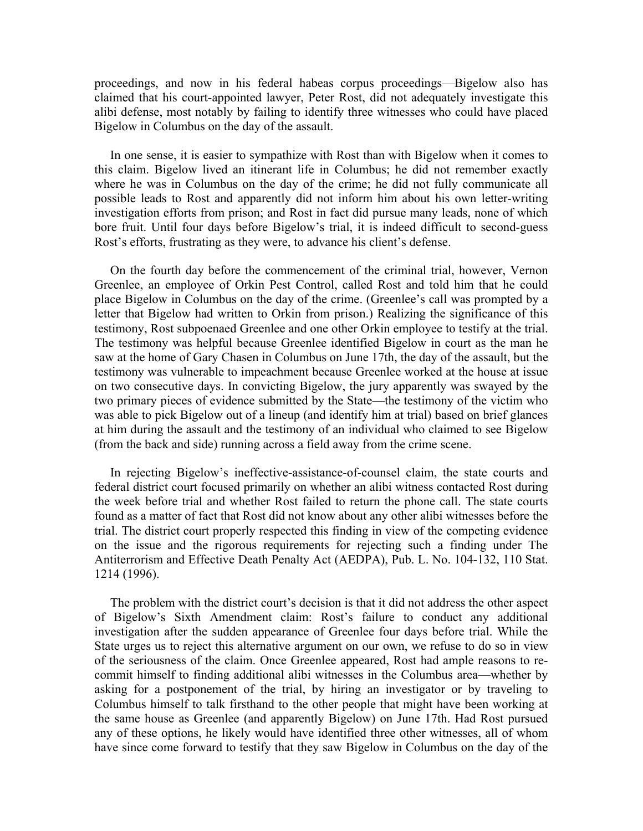proceedings, and now in his federal habeas corpus proceedings—Bigelow also has claimed that his court-appointed lawyer, Peter Rost, did not adequately investigate this alibi defense, most notably by failing to identify three witnesses who could have placed Bigelow in Columbus on the day of the assault.

 In one sense, it is easier to sympathize with Rost than with Bigelow when it comes to this claim. Bigelow lived an itinerant life in Columbus; he did not remember exactly where he was in Columbus on the day of the crime; he did not fully communicate all possible leads to Rost and apparently did not inform him about his own letter-writing investigation efforts from prison; and Rost in fact did pursue many leads, none of which bore fruit. Until four days before Bigelow's trial, it is indeed difficult to second-guess Rost's efforts, frustrating as they were, to advance his client's defense.

 On the fourth day before the commencement of the criminal trial, however, Vernon Greenlee, an employee of Orkin Pest Control, called Rost and told him that he could place Bigelow in Columbus on the day of the crime. (Greenlee's call was prompted by a letter that Bigelow had written to Orkin from prison.) Realizing the significance of this testimony, Rost subpoenaed Greenlee and one other Orkin employee to testify at the trial. The testimony was helpful because Greenlee identified Bigelow in court as the man he saw at the home of Gary Chasen in Columbus on June 17th, the day of the assault, but the testimony was vulnerable to impeachment because Greenlee worked at the house at issue on two consecutive days. In convicting Bigelow, the jury apparently was swayed by the two primary pieces of evidence submitted by the State—the testimony of the victim who was able to pick Bigelow out of a lineup (and identify him at trial) based on brief glances at him during the assault and the testimony of an individual who claimed to see Bigelow (from the back and side) running across a field away from the crime scene.

 In rejecting Bigelow's ineffective-assistance-of-counsel claim, the state courts and federal district court focused primarily on whether an alibi witness contacted Rost during the week before trial and whether Rost failed to return the phone call. The state courts found as a matter of fact that Rost did not know about any other alibi witnesses before the trial. The district court properly respected this finding in view of the competing evidence on the issue and the rigorous requirements for rejecting such a finding under The Antiterrorism and Effective Death Penalty Act (AEDPA), Pub. L. No. 104-132, 110 Stat. 1214 (1996).

 The problem with the district court's decision is that it did not address the other aspect of Bigelow's Sixth Amendment claim: Rost's failure to conduct any additional investigation after the sudden appearance of Greenlee four days before trial. While the State urges us to reject this alternative argument on our own, we refuse to do so in view of the seriousness of the claim. Once Greenlee appeared, Rost had ample reasons to recommit himself to finding additional alibi witnesses in the Columbus area—whether by asking for a postponement of the trial, by hiring an investigator or by traveling to Columbus himself to talk firsthand to the other people that might have been working at the same house as Greenlee (and apparently Bigelow) on June 17th. Had Rost pursued any of these options, he likely would have identified three other witnesses, all of whom have since come forward to testify that they saw Bigelow in Columbus on the day of the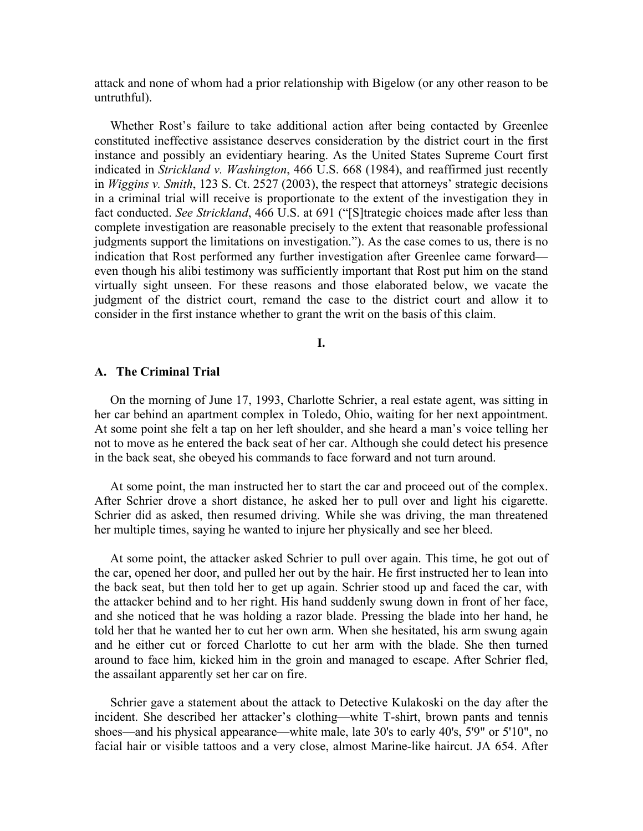attack and none of whom had a prior relationship with Bigelow (or any other reason to be untruthful).

 Whether Rost's failure to take additional action after being contacted by Greenlee constituted ineffective assistance deserves consideration by the district court in the first instance and possibly an evidentiary hearing. As the United States Supreme Court first indicated in *Strickland v. Washington*, 466 U.S. 668 (1984), and reaffirmed just recently in *Wiggins v. Smith*, 123 S. Ct. 2527 (2003), the respect that attorneys' strategic decisions in a criminal trial will receive is proportionate to the extent of the investigation they in fact conducted. *See Strickland*, 466 U.S. at 691 ("[S]trategic choices made after less than complete investigation are reasonable precisely to the extent that reasonable professional judgments support the limitations on investigation."). As the case comes to us, there is no indication that Rost performed any further investigation after Greenlee came forward even though his alibi testimony was sufficiently important that Rost put him on the stand virtually sight unseen. For these reasons and those elaborated below, we vacate the judgment of the district court, remand the case to the district court and allow it to consider in the first instance whether to grant the writ on the basis of this claim.

**I.**

## **A. The Criminal Trial**

 On the morning of June 17, 1993, Charlotte Schrier, a real estate agent, was sitting in her car behind an apartment complex in Toledo, Ohio, waiting for her next appointment. At some point she felt a tap on her left shoulder, and she heard a man's voice telling her not to move as he entered the back seat of her car. Although she could detect his presence in the back seat, she obeyed his commands to face forward and not turn around.

 At some point, the man instructed her to start the car and proceed out of the complex. After Schrier drove a short distance, he asked her to pull over and light his cigarette. Schrier did as asked, then resumed driving. While she was driving, the man threatened her multiple times, saying he wanted to injure her physically and see her bleed.

 At some point, the attacker asked Schrier to pull over again. This time, he got out of the car, opened her door, and pulled her out by the hair. He first instructed her to lean into the back seat, but then told her to get up again. Schrier stood up and faced the car, with the attacker behind and to her right. His hand suddenly swung down in front of her face, and she noticed that he was holding a razor blade. Pressing the blade into her hand, he told her that he wanted her to cut her own arm. When she hesitated, his arm swung again and he either cut or forced Charlotte to cut her arm with the blade. She then turned around to face him, kicked him in the groin and managed to escape. After Schrier fled, the assailant apparently set her car on fire.

 Schrier gave a statement about the attack to Detective Kulakoski on the day after the incident. She described her attacker's clothing—white T-shirt, brown pants and tennis shoes—and his physical appearance—white male, late 30's to early 40's, 5'9" or 5'10", no facial hair or visible tattoos and a very close, almost Marine-like haircut. JA 654. After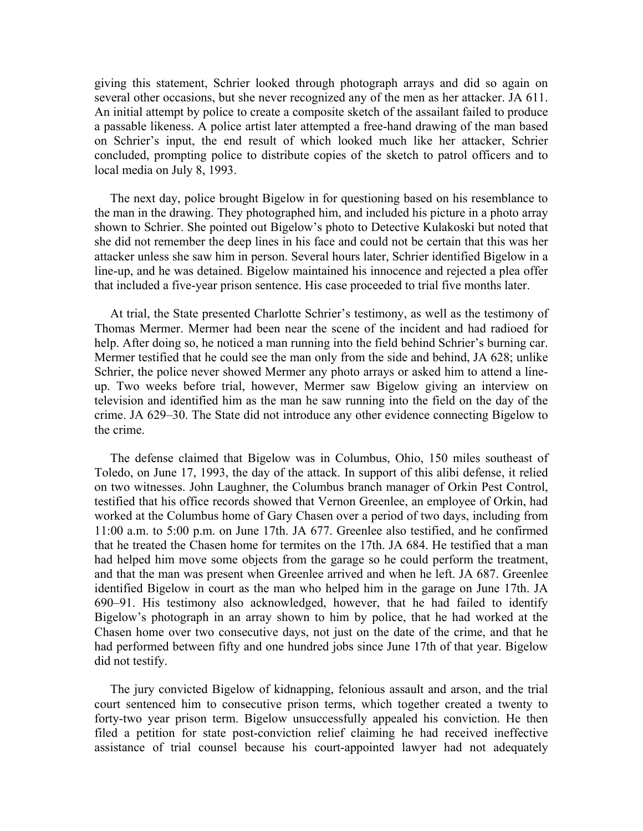giving this statement, Schrier looked through photograph arrays and did so again on several other occasions, but she never recognized any of the men as her attacker. JA 611. An initial attempt by police to create a composite sketch of the assailant failed to produce a passable likeness. A police artist later attempted a free-hand drawing of the man based on Schrier's input, the end result of which looked much like her attacker, Schrier concluded, prompting police to distribute copies of the sketch to patrol officers and to local media on July 8, 1993.

 The next day, police brought Bigelow in for questioning based on his resemblance to the man in the drawing. They photographed him, and included his picture in a photo array shown to Schrier. She pointed out Bigelow's photo to Detective Kulakoski but noted that she did not remember the deep lines in his face and could not be certain that this was her attacker unless she saw him in person. Several hours later, Schrier identified Bigelow in a line-up, and he was detained. Bigelow maintained his innocence and rejected a plea offer that included a five-year prison sentence. His case proceeded to trial five months later.

 At trial, the State presented Charlotte Schrier's testimony, as well as the testimony of Thomas Mermer. Mermer had been near the scene of the incident and had radioed for help. After doing so, he noticed a man running into the field behind Schrier's burning car. Mermer testified that he could see the man only from the side and behind, JA 628; unlike Schrier, the police never showed Mermer any photo arrays or asked him to attend a lineup. Two weeks before trial, however, Mermer saw Bigelow giving an interview on television and identified him as the man he saw running into the field on the day of the crime. JA 629–30. The State did not introduce any other evidence connecting Bigelow to the crime.

 The defense claimed that Bigelow was in Columbus, Ohio, 150 miles southeast of Toledo, on June 17, 1993, the day of the attack. In support of this alibi defense, it relied on two witnesses. John Laughner, the Columbus branch manager of Orkin Pest Control, testified that his office records showed that Vernon Greenlee, an employee of Orkin, had worked at the Columbus home of Gary Chasen over a period of two days, including from 11:00 a.m. to 5:00 p.m. on June 17th. JA 677. Greenlee also testified, and he confirmed that he treated the Chasen home for termites on the 17th. JA 684. He testified that a man had helped him move some objects from the garage so he could perform the treatment, and that the man was present when Greenlee arrived and when he left. JA 687. Greenlee identified Bigelow in court as the man who helped him in the garage on June 17th. JA 690–91. His testimony also acknowledged, however, that he had failed to identify Bigelow's photograph in an array shown to him by police, that he had worked at the Chasen home over two consecutive days, not just on the date of the crime, and that he had performed between fifty and one hundred jobs since June 17th of that year. Bigelow did not testify.

 The jury convicted Bigelow of kidnapping, felonious assault and arson, and the trial court sentenced him to consecutive prison terms, which together created a twenty to forty-two year prison term. Bigelow unsuccessfully appealed his conviction. He then filed a petition for state post-conviction relief claiming he had received ineffective assistance of trial counsel because his court-appointed lawyer had not adequately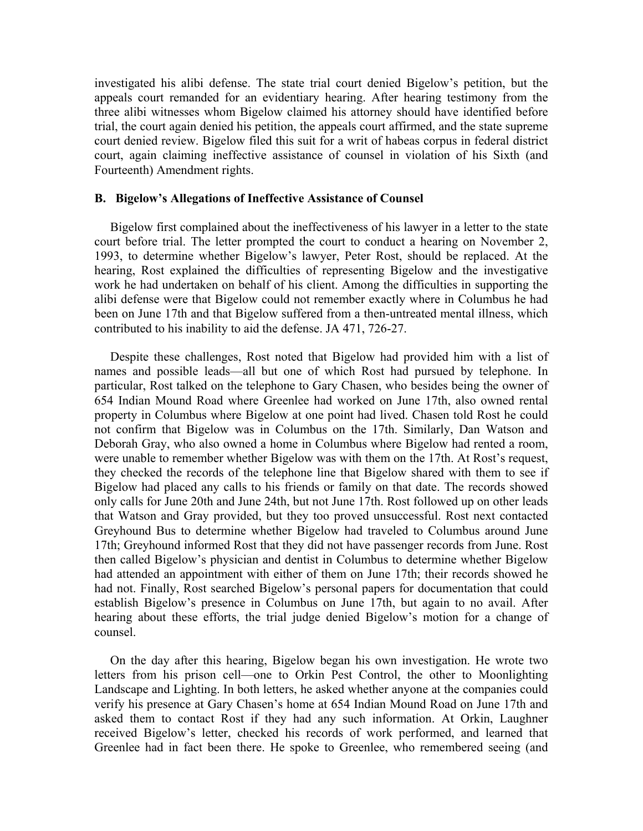investigated his alibi defense. The state trial court denied Bigelow's petition, but the appeals court remanded for an evidentiary hearing. After hearing testimony from the three alibi witnesses whom Bigelow claimed his attorney should have identified before trial, the court again denied his petition, the appeals court affirmed, and the state supreme court denied review. Bigelow filed this suit for a writ of habeas corpus in federal district court, again claiming ineffective assistance of counsel in violation of his Sixth (and Fourteenth) Amendment rights.

### **B. Bigelow's Allegations of Ineffective Assistance of Counsel**

 Bigelow first complained about the ineffectiveness of his lawyer in a letter to the state court before trial. The letter prompted the court to conduct a hearing on November 2, 1993, to determine whether Bigelow's lawyer, Peter Rost, should be replaced. At the hearing, Rost explained the difficulties of representing Bigelow and the investigative work he had undertaken on behalf of his client. Among the difficulties in supporting the alibi defense were that Bigelow could not remember exactly where in Columbus he had been on June 17th and that Bigelow suffered from a then-untreated mental illness, which contributed to his inability to aid the defense. JA 471, 726-27.

 Despite these challenges, Rost noted that Bigelow had provided him with a list of names and possible leads—all but one of which Rost had pursued by telephone. In particular, Rost talked on the telephone to Gary Chasen, who besides being the owner of 654 Indian Mound Road where Greenlee had worked on June 17th, also owned rental property in Columbus where Bigelow at one point had lived. Chasen told Rost he could not confirm that Bigelow was in Columbus on the 17th. Similarly, Dan Watson and Deborah Gray, who also owned a home in Columbus where Bigelow had rented a room, were unable to remember whether Bigelow was with them on the 17th. At Rost's request, they checked the records of the telephone line that Bigelow shared with them to see if Bigelow had placed any calls to his friends or family on that date. The records showed only calls for June 20th and June 24th, but not June 17th. Rost followed up on other leads that Watson and Gray provided, but they too proved unsuccessful. Rost next contacted Greyhound Bus to determine whether Bigelow had traveled to Columbus around June 17th; Greyhound informed Rost that they did not have passenger records from June. Rost then called Bigelow's physician and dentist in Columbus to determine whether Bigelow had attended an appointment with either of them on June 17th; their records showed he had not. Finally, Rost searched Bigelow's personal papers for documentation that could establish Bigelow's presence in Columbus on June 17th, but again to no avail. After hearing about these efforts, the trial judge denied Bigelow's motion for a change of counsel.

 On the day after this hearing, Bigelow began his own investigation. He wrote two letters from his prison cell—one to Orkin Pest Control, the other to Moonlighting Landscape and Lighting. In both letters, he asked whether anyone at the companies could verify his presence at Gary Chasen's home at 654 Indian Mound Road on June 17th and asked them to contact Rost if they had any such information. At Orkin, Laughner received Bigelow's letter, checked his records of work performed, and learned that Greenlee had in fact been there. He spoke to Greenlee, who remembered seeing (and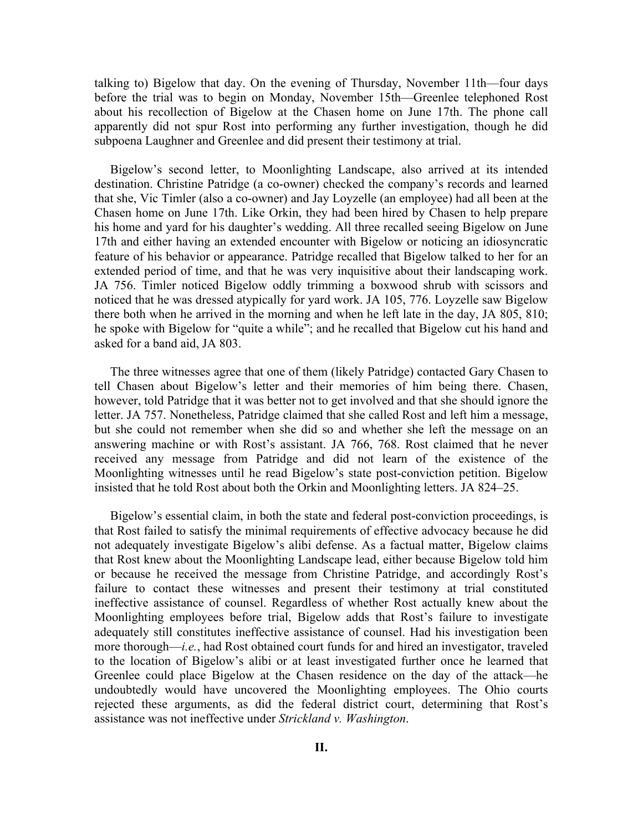talking to) Bigelow that day. On the evening of Thursday, November 11th—four days before the trial was to begin on Monday, November 15th—Greenlee telephoned Rost about his recollection of Bigelow at the Chasen home on June 17th. The phone call apparently did not spur Rost into performing any further investigation, though he did subpoena Laughner and Greenlee and did present their testimony at trial.

 Bigelow's second letter, to Moonlighting Landscape, also arrived at its intended destination. Christine Patridge (a co-owner) checked the company's records and learned that she, Vic Timler (also a co-owner) and Jay Loyzelle (an employee) had all been at the Chasen home on June 17th. Like Orkin, they had been hired by Chasen to help prepare his home and yard for his daughter's wedding. All three recalled seeing Bigelow on June 17th and either having an extended encounter with Bigelow or noticing an idiosyncratic feature of his behavior or appearance. Patridge recalled that Bigelow talked to her for an extended period of time, and that he was very inquisitive about their landscaping work. JA 756. Timler noticed Bigelow oddly trimming a boxwood shrub with scissors and noticed that he was dressed atypically for yard work. JA 105, 776. Loyzelle saw Bigelow there both when he arrived in the morning and when he left late in the day, JA 805, 810; he spoke with Bigelow for "quite a while"; and he recalled that Bigelow cut his hand and asked for a band aid, JA 803.

 The three witnesses agree that one of them (likely Patridge) contacted Gary Chasen to tell Chasen about Bigelow's letter and their memories of him being there. Chasen, however, told Patridge that it was better not to get involved and that she should ignore the letter. JA 757. Nonetheless, Patridge claimed that she called Rost and left him a message, but she could not remember when she did so and whether she left the message on an answering machine or with Rost's assistant. JA 766, 768. Rost claimed that he never received any message from Patridge and did not learn of the existence of the Moonlighting witnesses until he read Bigelow's state post-conviction petition. Bigelow insisted that he told Rost about both the Orkin and Moonlighting letters. JA 824–25.

 Bigelow's essential claim, in both the state and federal post-conviction proceedings, is that Rost failed to satisfy the minimal requirements of effective advocacy because he did not adequately investigate Bigelow's alibi defense. As a factual matter, Bigelow claims that Rost knew about the Moonlighting Landscape lead, either because Bigelow told him or because he received the message from Christine Patridge, and accordingly Rost's failure to contact these witnesses and present their testimony at trial constituted ineffective assistance of counsel. Regardless of whether Rost actually knew about the Moonlighting employees before trial, Bigelow adds that Rost's failure to investigate adequately still constitutes ineffective assistance of counsel. Had his investigation been more thorough—*i.e.*, had Rost obtained court funds for and hired an investigator, traveled to the location of Bigelow's alibi or at least investigated further once he learned that Greenlee could place Bigelow at the Chasen residence on the day of the attack—he undoubtedly would have uncovered the Moonlighting employees. The Ohio courts rejected these arguments, as did the federal district court, determining that Rost's assistance was not ineffective under *Strickland v. Washington*.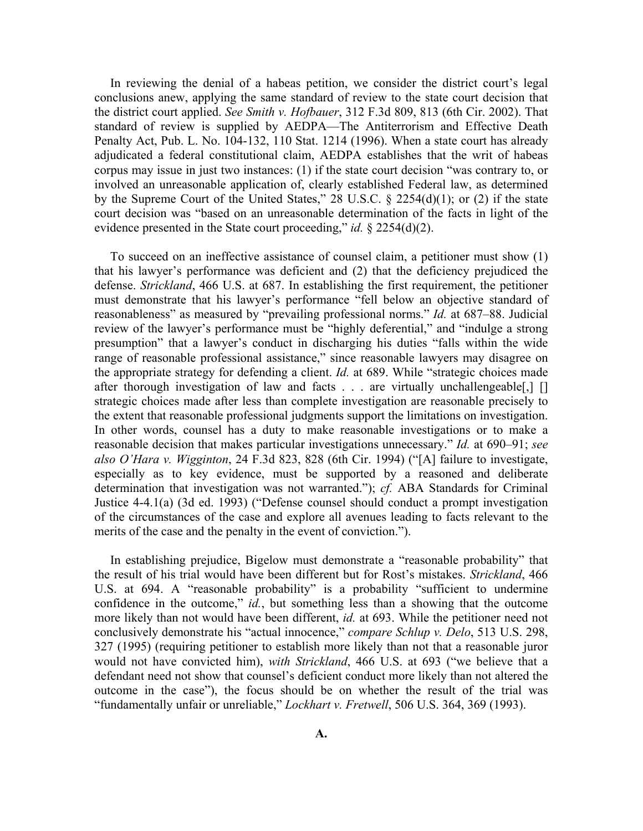In reviewing the denial of a habeas petition, we consider the district court's legal conclusions anew, applying the same standard of review to the state court decision that the district court applied. *See Smith v. Hofbauer*, 312 F.3d 809, 813 (6th Cir. 2002). That standard of review is supplied by AEDPA—The Antiterrorism and Effective Death Penalty Act, Pub. L. No. 104-132, 110 Stat. 1214 (1996). When a state court has already adjudicated a federal constitutional claim, AEDPA establishes that the writ of habeas corpus may issue in just two instances: (1) if the state court decision "was contrary to, or involved an unreasonable application of, clearly established Federal law, as determined by the Supreme Court of the United States," 28 U.S.C. § 2254(d)(1); or (2) if the state court decision was "based on an unreasonable determination of the facts in light of the evidence presented in the State court proceeding," *id.* § 2254(d)(2).

 To succeed on an ineffective assistance of counsel claim, a petitioner must show (1) that his lawyer's performance was deficient and (2) that the deficiency prejudiced the defense. *Strickland*, 466 U.S. at 687. In establishing the first requirement, the petitioner must demonstrate that his lawyer's performance "fell below an objective standard of reasonableness" as measured by "prevailing professional norms." *Id.* at 687–88. Judicial review of the lawyer's performance must be "highly deferential," and "indulge a strong presumption" that a lawyer's conduct in discharging his duties "falls within the wide range of reasonable professional assistance," since reasonable lawyers may disagree on the appropriate strategy for defending a client. *Id.* at 689. While "strategic choices made after thorough investigation of law and facts . . . are virtually unchallengeable, [1] strategic choices made after less than complete investigation are reasonable precisely to the extent that reasonable professional judgments support the limitations on investigation. In other words, counsel has a duty to make reasonable investigations or to make a reasonable decision that makes particular investigations unnecessary." *Id.* at 690–91; *see also O'Hara v. Wigginton*, 24 F.3d 823, 828 (6th Cir. 1994) ("[A] failure to investigate, especially as to key evidence, must be supported by a reasoned and deliberate determination that investigation was not warranted."); *cf.* ABA Standards for Criminal Justice 4-4.1(a) (3d ed. 1993) ("Defense counsel should conduct a prompt investigation of the circumstances of the case and explore all avenues leading to facts relevant to the merits of the case and the penalty in the event of conviction.").

 In establishing prejudice, Bigelow must demonstrate a "reasonable probability" that the result of his trial would have been different but for Rost's mistakes. *Strickland*, 466 U.S. at 694. A "reasonable probability" is a probability "sufficient to undermine confidence in the outcome," *id.*, but something less than a showing that the outcome more likely than not would have been different, *id.* at 693. While the petitioner need not conclusively demonstrate his "actual innocence," *compare Schlup v. Delo*, 513 U.S. 298, 327 (1995) (requiring petitioner to establish more likely than not that a reasonable juror would not have convicted him), *with Strickland*, 466 U.S. at 693 ("we believe that a defendant need not show that counsel's deficient conduct more likely than not altered the outcome in the case"), the focus should be on whether the result of the trial was "fundamentally unfair or unreliable," *Lockhart v. Fretwell*, 506 U.S. 364, 369 (1993).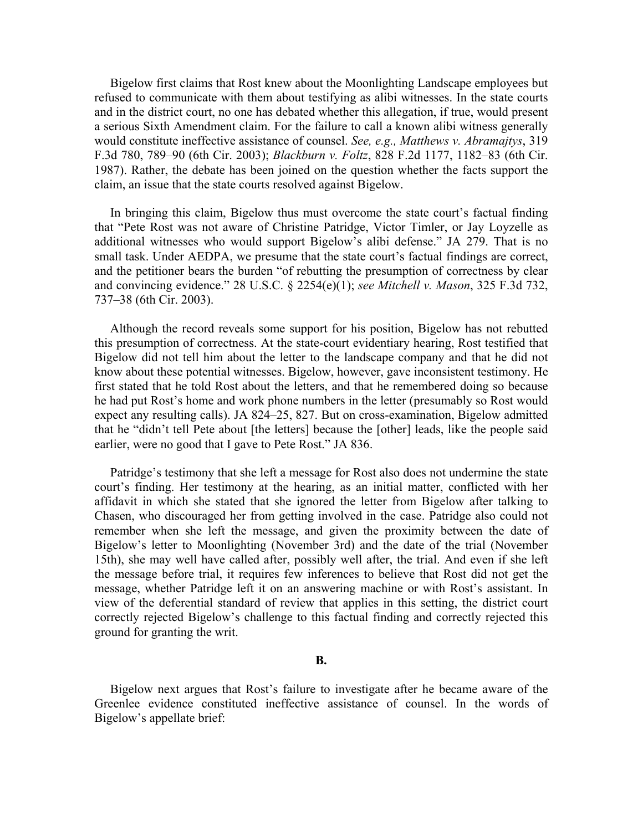Bigelow first claims that Rost knew about the Moonlighting Landscape employees but refused to communicate with them about testifying as alibi witnesses. In the state courts and in the district court, no one has debated whether this allegation, if true, would present a serious Sixth Amendment claim. For the failure to call a known alibi witness generally would constitute ineffective assistance of counsel. *See, e.g., Matthews v. Abramajtys*, 319 F.3d 780, 789–90 (6th Cir. 2003); *Blackburn v. Foltz*, 828 F.2d 1177, 1182–83 (6th Cir. 1987). Rather, the debate has been joined on the question whether the facts support the claim, an issue that the state courts resolved against Bigelow.

 In bringing this claim, Bigelow thus must overcome the state court's factual finding that "Pete Rost was not aware of Christine Patridge, Victor Timler, or Jay Loyzelle as additional witnesses who would support Bigelow's alibi defense." JA 279. That is no small task. Under AEDPA, we presume that the state court's factual findings are correct, and the petitioner bears the burden "of rebutting the presumption of correctness by clear and convincing evidence." 28 U.S.C. § 2254(e)(1); *see Mitchell v. Mason*, 325 F.3d 732, 737–38 (6th Cir. 2003).

 Although the record reveals some support for his position, Bigelow has not rebutted this presumption of correctness. At the state-court evidentiary hearing, Rost testified that Bigelow did not tell him about the letter to the landscape company and that he did not know about these potential witnesses. Bigelow, however, gave inconsistent testimony. He first stated that he told Rost about the letters, and that he remembered doing so because he had put Rost's home and work phone numbers in the letter (presumably so Rost would expect any resulting calls). JA 824–25, 827. But on cross-examination, Bigelow admitted that he "didn't tell Pete about [the letters] because the [other] leads, like the people said earlier, were no good that I gave to Pete Rost." JA 836.

 Patridge's testimony that she left a message for Rost also does not undermine the state court's finding. Her testimony at the hearing, as an initial matter, conflicted with her affidavit in which she stated that she ignored the letter from Bigelow after talking to Chasen, who discouraged her from getting involved in the case. Patridge also could not remember when she left the message, and given the proximity between the date of Bigelow's letter to Moonlighting (November 3rd) and the date of the trial (November 15th), she may well have called after, possibly well after, the trial. And even if she left the message before trial, it requires few inferences to believe that Rost did not get the message, whether Patridge left it on an answering machine or with Rost's assistant. In view of the deferential standard of review that applies in this setting, the district court correctly rejected Bigelow's challenge to this factual finding and correctly rejected this ground for granting the writ.

## **B.**

 Bigelow next argues that Rost's failure to investigate after he became aware of the Greenlee evidence constituted ineffective assistance of counsel. In the words of Bigelow's appellate brief: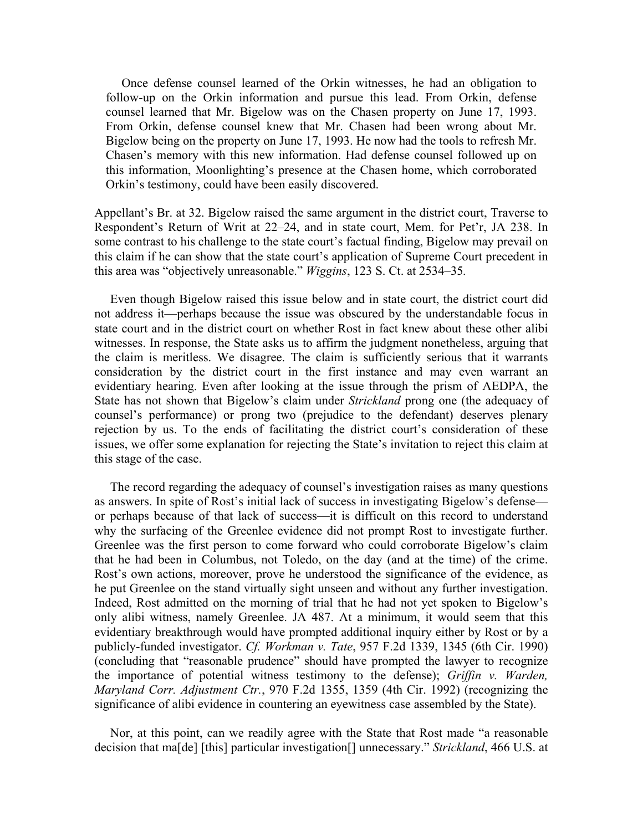Once defense counsel learned of the Orkin witnesses, he had an obligation to follow-up on the Orkin information and pursue this lead. From Orkin, defense counsel learned that Mr. Bigelow was on the Chasen property on June 17, 1993. From Orkin, defense counsel knew that Mr. Chasen had been wrong about Mr. Bigelow being on the property on June 17, 1993. He now had the tools to refresh Mr. Chasen's memory with this new information. Had defense counsel followed up on this information, Moonlighting's presence at the Chasen home, which corroborated Orkin's testimony, could have been easily discovered.

Appellant's Br. at 32. Bigelow raised the same argument in the district court, Traverse to Respondent's Return of Writ at 22–24, and in state court, Mem. for Pet'r, JA 238. In some contrast to his challenge to the state court's factual finding, Bigelow may prevail on this claim if he can show that the state court's application of Supreme Court precedent in this area was "objectively unreasonable." *Wiggins*, 123 S. Ct. at 2534–35*.*

Even though Bigelow raised this issue below and in state court, the district court did not address it—perhaps because the issue was obscured by the understandable focus in state court and in the district court on whether Rost in fact knew about these other alibi witnesses. In response, the State asks us to affirm the judgment nonetheless, arguing that the claim is meritless. We disagree. The claim is sufficiently serious that it warrants consideration by the district court in the first instance and may even warrant an evidentiary hearing. Even after looking at the issue through the prism of AEDPA, the State has not shown that Bigelow's claim under *Strickland* prong one (the adequacy of counsel's performance) or prong two (prejudice to the defendant) deserves plenary rejection by us. To the ends of facilitating the district court's consideration of these issues, we offer some explanation for rejecting the State's invitation to reject this claim at this stage of the case.

 The record regarding the adequacy of counsel's investigation raises as many questions as answers. In spite of Rost's initial lack of success in investigating Bigelow's defense or perhaps because of that lack of success—it is difficult on this record to understand why the surfacing of the Greenlee evidence did not prompt Rost to investigate further. Greenlee was the first person to come forward who could corroborate Bigelow's claim that he had been in Columbus, not Toledo, on the day (and at the time) of the crime. Rost's own actions, moreover, prove he understood the significance of the evidence, as he put Greenlee on the stand virtually sight unseen and without any further investigation. Indeed, Rost admitted on the morning of trial that he had not yet spoken to Bigelow's only alibi witness, namely Greenlee. JA 487. At a minimum, it would seem that this evidentiary breakthrough would have prompted additional inquiry either by Rost or by a publicly-funded investigator. *Cf. Workman v. Tate*, 957 F.2d 1339, 1345 (6th Cir. 1990) (concluding that "reasonable prudence" should have prompted the lawyer to recognize the importance of potential witness testimony to the defense); *Griffin v. Warden, Maryland Corr. Adjustment Ctr.*, 970 F.2d 1355, 1359 (4th Cir. 1992) (recognizing the significance of alibi evidence in countering an eyewitness case assembled by the State).

 Nor, at this point, can we readily agree with the State that Rost made "a reasonable decision that ma[de] [this] particular investigation[] unnecessary." *Strickland*, 466 U.S. at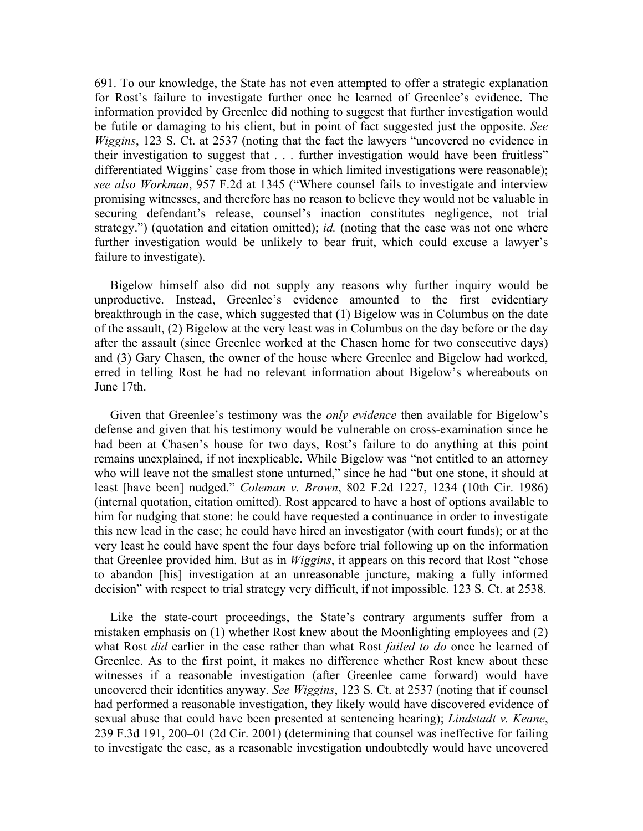691. To our knowledge, the State has not even attempted to offer a strategic explanation for Rost's failure to investigate further once he learned of Greenlee's evidence. The information provided by Greenlee did nothing to suggest that further investigation would be futile or damaging to his client, but in point of fact suggested just the opposite. *See Wiggins*, 123 S. Ct. at 2537 (noting that the fact the lawyers "uncovered no evidence in their investigation to suggest that . . . further investigation would have been fruitless" differentiated Wiggins' case from those in which limited investigations were reasonable); *see also Workman*, 957 F.2d at 1345 ("Where counsel fails to investigate and interview promising witnesses, and therefore has no reason to believe they would not be valuable in securing defendant's release, counsel's inaction constitutes negligence, not trial strategy.") (quotation and citation omitted); *id.* (noting that the case was not one where further investigation would be unlikely to bear fruit, which could excuse a lawyer's failure to investigate).

 Bigelow himself also did not supply any reasons why further inquiry would be unproductive. Instead, Greenlee's evidence amounted to the first evidentiary breakthrough in the case, which suggested that (1) Bigelow was in Columbus on the date of the assault, (2) Bigelow at the very least was in Columbus on the day before or the day after the assault (since Greenlee worked at the Chasen home for two consecutive days) and (3) Gary Chasen, the owner of the house where Greenlee and Bigelow had worked, erred in telling Rost he had no relevant information about Bigelow's whereabouts on June 17th.

 Given that Greenlee's testimony was the *only evidence* then available for Bigelow's defense and given that his testimony would be vulnerable on cross-examination since he had been at Chasen's house for two days, Rost's failure to do anything at this point remains unexplained, if not inexplicable. While Bigelow was "not entitled to an attorney who will leave not the smallest stone unturned," since he had "but one stone, it should at least [have been] nudged." *Coleman v. Brown*, 802 F.2d 1227, 1234 (10th Cir. 1986) (internal quotation, citation omitted). Rost appeared to have a host of options available to him for nudging that stone: he could have requested a continuance in order to investigate this new lead in the case; he could have hired an investigator (with court funds); or at the very least he could have spent the four days before trial following up on the information that Greenlee provided him. But as in *Wiggins*, it appears on this record that Rost "chose to abandon [his] investigation at an unreasonable juncture, making a fully informed decision" with respect to trial strategy very difficult, if not impossible. 123 S. Ct. at 2538.

 Like the state-court proceedings, the State's contrary arguments suffer from a mistaken emphasis on (1) whether Rost knew about the Moonlighting employees and (2) what Rost *did* earlier in the case rather than what Rost *failed to do* once he learned of Greenlee. As to the first point, it makes no difference whether Rost knew about these witnesses if a reasonable investigation (after Greenlee came forward) would have uncovered their identities anyway. *See Wiggins*, 123 S. Ct. at 2537 (noting that if counsel had performed a reasonable investigation, they likely would have discovered evidence of sexual abuse that could have been presented at sentencing hearing); *Lindstadt v. Keane*, 239 F.3d 191, 200–01 (2d Cir. 2001) (determining that counsel was ineffective for failing to investigate the case, as a reasonable investigation undoubtedly would have uncovered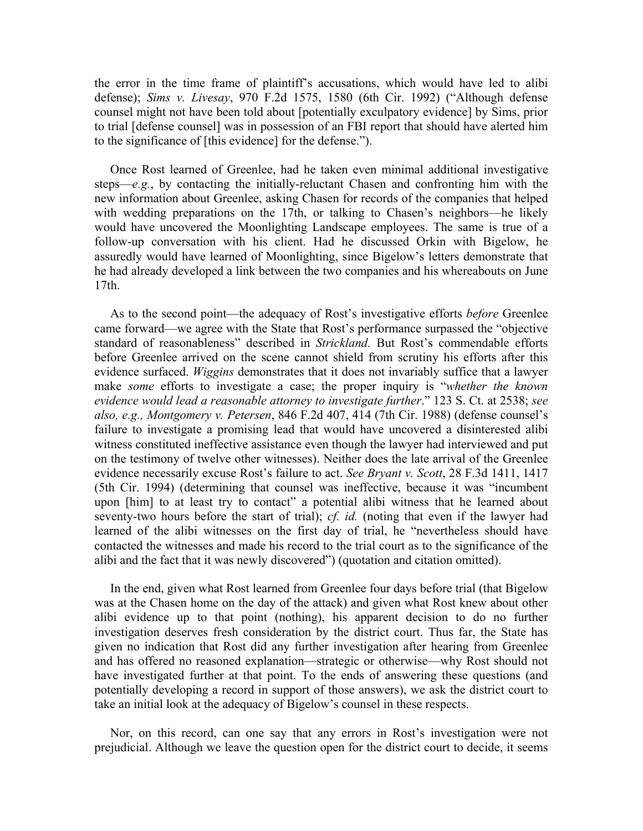the error in the time frame of plaintiff's accusations, which would have led to alibi defense); *Sims v. Livesay*, 970 F.2d 1575, 1580 (6th Cir. 1992) ("Although defense counsel might not have been told about [potentially exculpatory evidence] by Sims, prior to trial [defense counsel] was in possession of an FBI report that should have alerted him to the significance of [this evidence] for the defense.").

 Once Rost learned of Greenlee, had he taken even minimal additional investigative steps—*e.g.*, by contacting the initially-reluctant Chasen and confronting him with the new information about Greenlee, asking Chasen for records of the companies that helped with wedding preparations on the 17th, or talking to Chasen's neighbors—he likely would have uncovered the Moonlighting Landscape employees. The same is true of a follow-up conversation with his client. Had he discussed Orkin with Bigelow, he assuredly would have learned of Moonlighting, since Bigelow's letters demonstrate that he had already developed a link between the two companies and his whereabouts on June 17th.

 As to the second point—the adequacy of Rost's investigative efforts *before* Greenlee came forward—we agree with the State that Rost's performance surpassed the "objective standard of reasonableness" described in *Strickland.* But Rost's commendable efforts before Greenlee arrived on the scene cannot shield from scrutiny his efforts after this evidence surfaced. *Wiggins* demonstrates that it does not invariably suffice that a lawyer make *some* efforts to investigate a case; the proper inquiry is "*whether the known evidence would lead a reasonable attorney to investigate further*." 123 S. Ct. at 2538; *see also, e.g., Montgomery v. Petersen*, 846 F.2d 407, 414 (7th Cir. 1988) (defense counsel's failure to investigate a promising lead that would have uncovered a disinterested alibi witness constituted ineffective assistance even though the lawyer had interviewed and put on the testimony of twelve other witnesses). Neither does the late arrival of the Greenlee evidence necessarily excuse Rost's failure to act. *See Bryant v. Scott*, 28 F.3d 1411, 1417 (5th Cir. 1994) (determining that counsel was ineffective, because it was "incumbent upon [him] to at least try to contact" a potential alibi witness that he learned about seventy-two hours before the start of trial); *cf. id.* (noting that even if the lawyer had learned of the alibi witnesses on the first day of trial, he "nevertheless should have contacted the witnesses and made his record to the trial court as to the significance of the alibi and the fact that it was newly discovered") (quotation and citation omitted).

 In the end, given what Rost learned from Greenlee four days before trial (that Bigelow was at the Chasen home on the day of the attack) and given what Rost knew about other alibi evidence up to that point (nothing), his apparent decision to do no further investigation deserves fresh consideration by the district court. Thus far, the State has given no indication that Rost did any further investigation after hearing from Greenlee and has offered no reasoned explanation—strategic or otherwise—why Rost should not have investigated further at that point. To the ends of answering these questions (and potentially developing a record in support of those answers), we ask the district court to take an initial look at the adequacy of Bigelow's counsel in these respects.

 Nor, on this record, can one say that any errors in Rost's investigation were not prejudicial. Although we leave the question open for the district court to decide, it seems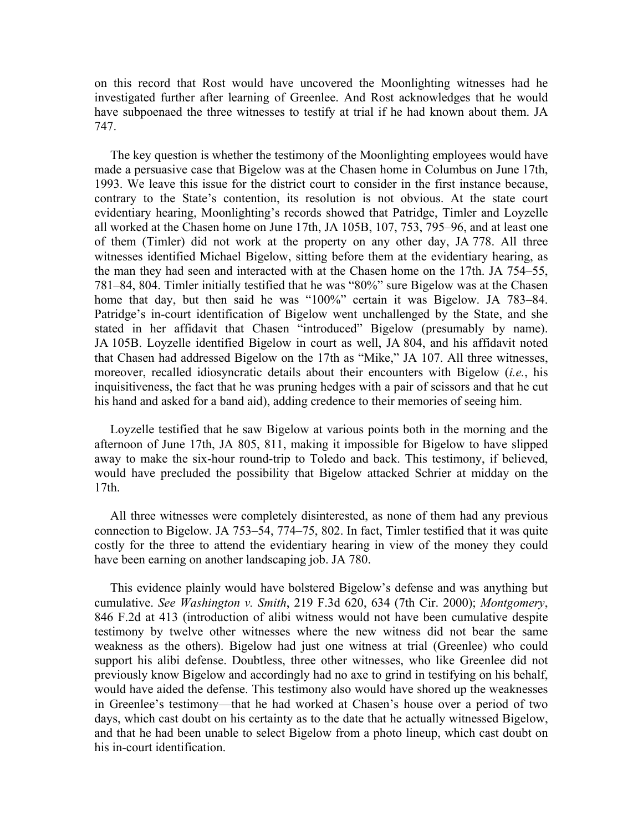on this record that Rost would have uncovered the Moonlighting witnesses had he investigated further after learning of Greenlee. And Rost acknowledges that he would have subpoenaed the three witnesses to testify at trial if he had known about them. JA 747.

 The key question is whether the testimony of the Moonlighting employees would have made a persuasive case that Bigelow was at the Chasen home in Columbus on June 17th, 1993. We leave this issue for the district court to consider in the first instance because, contrary to the State's contention, its resolution is not obvious. At the state court evidentiary hearing, Moonlighting's records showed that Patridge, Timler and Loyzelle all worked at the Chasen home on June 17th, JA 105B, 107, 753, 795–96, and at least one of them (Timler) did not work at the property on any other day, JA 778. All three witnesses identified Michael Bigelow, sitting before them at the evidentiary hearing, as the man they had seen and interacted with at the Chasen home on the 17th. JA 754–55, 781–84, 804. Timler initially testified that he was "80%" sure Bigelow was at the Chasen home that day, but then said he was "100%" certain it was Bigelow. JA 783–84. Patridge's in-court identification of Bigelow went unchallenged by the State, and she stated in her affidavit that Chasen "introduced" Bigelow (presumably by name). JA 105B. Loyzelle identified Bigelow in court as well, JA 804, and his affidavit noted that Chasen had addressed Bigelow on the 17th as "Mike," JA 107. All three witnesses, moreover, recalled idiosyncratic details about their encounters with Bigelow (*i.e.*, his inquisitiveness, the fact that he was pruning hedges with a pair of scissors and that he cut his hand and asked for a band aid), adding credence to their memories of seeing him.

 Loyzelle testified that he saw Bigelow at various points both in the morning and the afternoon of June 17th, JA 805, 811, making it impossible for Bigelow to have slipped away to make the six-hour round-trip to Toledo and back. This testimony, if believed, would have precluded the possibility that Bigelow attacked Schrier at midday on the 17th.

 All three witnesses were completely disinterested, as none of them had any previous connection to Bigelow. JA 753–54, 774–75, 802. In fact, Timler testified that it was quite costly for the three to attend the evidentiary hearing in view of the money they could have been earning on another landscaping job. JA 780.

 This evidence plainly would have bolstered Bigelow's defense and was anything but cumulative. *See Washington v. Smith*, 219 F.3d 620, 634 (7th Cir. 2000); *Montgomery*, 846 F.2d at 413 (introduction of alibi witness would not have been cumulative despite testimony by twelve other witnesses where the new witness did not bear the same weakness as the others). Bigelow had just one witness at trial (Greenlee) who could support his alibi defense. Doubtless, three other witnesses, who like Greenlee did not previously know Bigelow and accordingly had no axe to grind in testifying on his behalf, would have aided the defense. This testimony also would have shored up the weaknesses in Greenlee's testimony—that he had worked at Chasen's house over a period of two days, which cast doubt on his certainty as to the date that he actually witnessed Bigelow, and that he had been unable to select Bigelow from a photo lineup, which cast doubt on his in-court identification.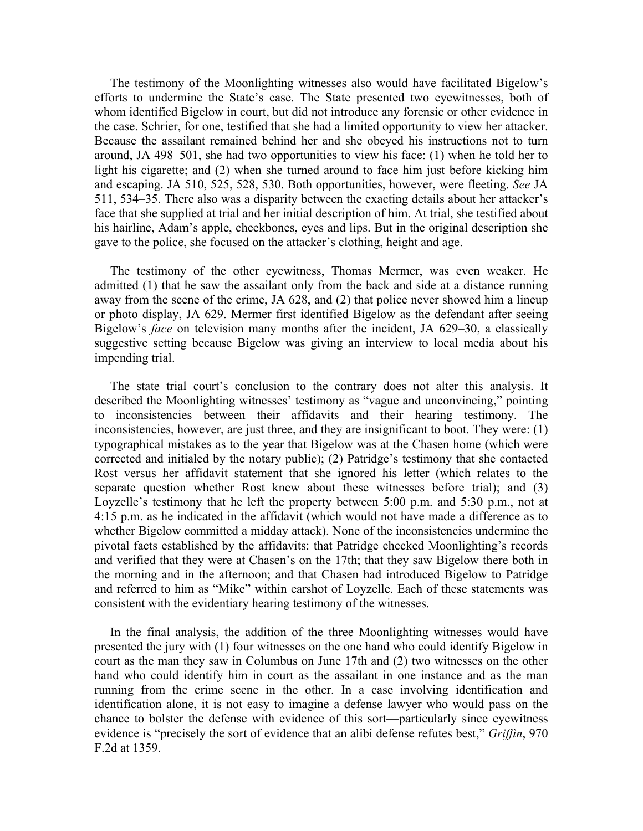The testimony of the Moonlighting witnesses also would have facilitated Bigelow's efforts to undermine the State's case. The State presented two eyewitnesses, both of whom identified Bigelow in court, but did not introduce any forensic or other evidence in the case. Schrier, for one, testified that she had a limited opportunity to view her attacker. Because the assailant remained behind her and she obeyed his instructions not to turn around, JA 498–501, she had two opportunities to view his face: (1) when he told her to light his cigarette; and (2) when she turned around to face him just before kicking him and escaping. JA 510, 525, 528, 530. Both opportunities, however, were fleeting. *See* JA 511, 534–35. There also was a disparity between the exacting details about her attacker's face that she supplied at trial and her initial description of him. At trial, she testified about his hairline, Adam's apple, cheekbones, eyes and lips. But in the original description she gave to the police, she focused on the attacker's clothing, height and age.

The testimony of the other eyewitness, Thomas Mermer, was even weaker. He admitted (1) that he saw the assailant only from the back and side at a distance running away from the scene of the crime, JA 628, and (2) that police never showed him a lineup or photo display, JA 629. Mermer first identified Bigelow as the defendant after seeing Bigelow's *face* on television many months after the incident, JA 629–30, a classically suggestive setting because Bigelow was giving an interview to local media about his impending trial.

 The state trial court's conclusion to the contrary does not alter this analysis. It described the Moonlighting witnesses' testimony as "vague and unconvincing," pointing to inconsistencies between their affidavits and their hearing testimony. The inconsistencies, however, are just three, and they are insignificant to boot. They were: (1) typographical mistakes as to the year that Bigelow was at the Chasen home (which were corrected and initialed by the notary public); (2) Patridge's testimony that she contacted Rost versus her affidavit statement that she ignored his letter (which relates to the separate question whether Rost knew about these witnesses before trial); and (3) Loyzelle's testimony that he left the property between 5:00 p.m. and 5:30 p.m., not at 4:15 p.m. as he indicated in the affidavit (which would not have made a difference as to whether Bigelow committed a midday attack). None of the inconsistencies undermine the pivotal facts established by the affidavits: that Patridge checked Moonlighting's records and verified that they were at Chasen's on the 17th; that they saw Bigelow there both in the morning and in the afternoon; and that Chasen had introduced Bigelow to Patridge and referred to him as "Mike" within earshot of Loyzelle. Each of these statements was consistent with the evidentiary hearing testimony of the witnesses.

 In the final analysis, the addition of the three Moonlighting witnesses would have presented the jury with (1) four witnesses on the one hand who could identify Bigelow in court as the man they saw in Columbus on June 17th and (2) two witnesses on the other hand who could identify him in court as the assailant in one instance and as the man running from the crime scene in the other. In a case involving identification and identification alone, it is not easy to imagine a defense lawyer who would pass on the chance to bolster the defense with evidence of this sort—particularly since eyewitness evidence is "precisely the sort of evidence that an alibi defense refutes best," *Griffin*, 970 F.2d at 1359.